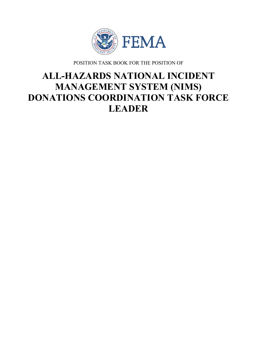

POSITION TASK BOOK FOR THE POSITION OF

# **ALL-HAZARDS NATIONAL INCIDENT MANAGEMENT SYSTEM (NIMS) DONATIONS COORDINATION TASK FORCE LEADER**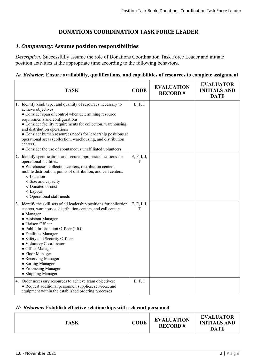## **DONATIONS COORDINATION TASK FORCE LEADER**

### *1. Competency:* **Assume position responsibilities**

*Description:* Successfully assume the role of Donations Coordination Task Force Leader and initiate position activities at the appropriate time according to the following behaviors.

#### *1a. Behavior:* **Ensure availability, qualifications, and capabilities of resources to complete assignment**

| <b>TASK</b>                                                                                                                                                                                                                                                                                                                                                                                                                                                                               | <b>CODE</b>      | <b>EVALUATION</b><br><b>RECORD#</b> | <b>EVALUATOR</b><br><b>INITIALS AND</b><br><b>DATE</b> |
|-------------------------------------------------------------------------------------------------------------------------------------------------------------------------------------------------------------------------------------------------------------------------------------------------------------------------------------------------------------------------------------------------------------------------------------------------------------------------------------------|------------------|-------------------------------------|--------------------------------------------------------|
| 1. Identify kind, type, and quantity of resources necessary to<br>achieve objectives:<br>• Consider span of control when determining resource<br>requirements and configurations<br>• Consider facility requirements for collection, warehousing,<br>and distribution operations<br>• Consider human resources needs for leadership positions at<br>operational areas (collection, warehousing, and distribution<br>centers)<br>• Consider the use of spontaneous unaffiliated volunteers | E, F, I          |                                     |                                                        |
| 2. Identify specifications and secure appropriate locations for<br>operational facilities:<br>· Warehouses, collection centers, distribution centers,<br>mobile distribution, points of distribution, and call centers:<br>o Location<br>○ Size and capacity<br>o Donated or cost<br>$\circ$ Layout<br>o Operational staff needs                                                                                                                                                          | E, F, I, J,<br>T |                                     |                                                        |
| 3. Identify the skill sets of all leadership positions for collection<br>centers, warehouses, distribution centers, and call centers:<br>• Manager<br>• Assistant Manager<br>• Liaison Officer<br>· Public Information Officer (PIO)<br>• Facilities Manager<br>• Safety and Security Officer<br>• Volunteer Coordinator<br>• Office Manager<br>• Floor Manager<br>• Receiving Manager<br>• Sorting Manager<br>• Processing Manager<br>• Shipping Manager                                 | E, F, I, J,<br>T |                                     |                                                        |
| 4. Order necessary resources to achieve team objectives:<br>• Request additional personnel, supplies, services, and<br>equipment within the established ordering processes                                                                                                                                                                                                                                                                                                                | E, F, I          |                                     |                                                        |

#### *1b. Behavior:* **Establish effective relationships with relevant personnel**

| <b>EVALUATION</b><br><b>CODE</b><br><b>TASK</b><br><b>INITIALS AND</b><br><b>RECORD#</b><br><b>DATE</b> |
|---------------------------------------------------------------------------------------------------------|
|---------------------------------------------------------------------------------------------------------|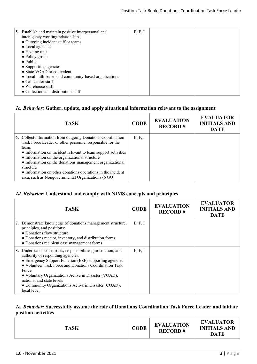| 5. Establish and maintain positive interpersonal and<br>interagency working relationships:<br>• Outgoing incident staff or teams<br>• Local agencies<br>$\bullet$ Hosting unit<br>$\bullet$ Policy group<br>$\bullet$ Public<br>• Supporting agencies<br>• State VOAD or equivalent<br>• Local faith-based and community-based organizations<br>$\bullet$ Call center staff<br>$\bullet$ Warehouse staff | E, F, I |  |
|----------------------------------------------------------------------------------------------------------------------------------------------------------------------------------------------------------------------------------------------------------------------------------------------------------------------------------------------------------------------------------------------------------|---------|--|
| • Collection and distribution staff                                                                                                                                                                                                                                                                                                                                                                      |         |  |

## *1c. Behavior:* **Gather, update, and apply situational information relevant to the assignment**

| <b>TASK</b>                                                                                                                                                                                                                                                                                                                                                                                                                                            | <b>CODE</b> | <b>EVALUATION</b><br><b>RECORD#</b> | <b>EVALUATOR</b><br><b>INITIALS AND</b><br><b>DATE</b> |
|--------------------------------------------------------------------------------------------------------------------------------------------------------------------------------------------------------------------------------------------------------------------------------------------------------------------------------------------------------------------------------------------------------------------------------------------------------|-------------|-------------------------------------|--------------------------------------------------------|
| <b>6.</b> Collect information from outgoing Donations Coordination<br>Task Force Leader or other personnel responsible for the<br>team:<br>• Information on incident relevant to team support activities<br>• Information on the organizational structure<br>• Information on the donations management organizational<br>structure<br>• Information on other donations operations in the incident<br>area, such as Nongovernmental Organizations (NGO) | E, F, I     |                                     |                                                        |

# *1d. Behavior:* **Understand and comply with NIMS concepts and principles**

| <b>TASK</b>                                                                                                                                                                                                                                                                                                                                                                                      | <b>CODE</b> | <b>EVALUATION</b><br><b>RECORD#</b> | <b>EVALUATOR</b><br><b>INITIALS AND</b><br><b>DATE</b> |
|--------------------------------------------------------------------------------------------------------------------------------------------------------------------------------------------------------------------------------------------------------------------------------------------------------------------------------------------------------------------------------------------------|-------------|-------------------------------------|--------------------------------------------------------|
| Demonstrate knowledge of donations management structure,<br>7.<br>principles, and positions:<br>• Donations flow structure<br>• Donations receipt, inventory, and distribution forms<br>• Donations recipient case management forms                                                                                                                                                              | E, F, I     |                                     |                                                        |
| Understand scope, roles, responsibilities, jurisdiction, and<br>8.<br>authority of responding agencies:<br>• Emergency Support Function (ESF) supporting agencies<br>• Volunteer Task Force and Donations Coordination Task<br>Force<br>• Voluntary Organizations Active in Disaster (VOAD),<br>national and state levels<br>• Community Organizations Active in Disaster (COAD),<br>local level | E, F, I     |                                     |                                                        |

#### *1e. Behavior:* **Successfully assume the role of Donations Coordination Task Force Leader and initiate position activities**

| <b>TASK</b> | <b>CODE</b> | <b>EVALUATION</b><br><b>RECORD#</b> | <b>EVALUATOR</b><br><b>INITIALS AND</b><br><b>DATE</b> |
|-------------|-------------|-------------------------------------|--------------------------------------------------------|
|-------------|-------------|-------------------------------------|--------------------------------------------------------|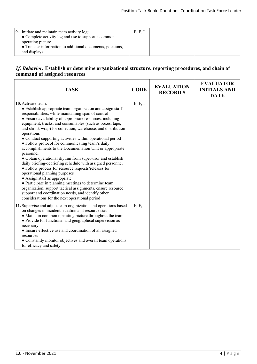| 9. Initiate and maintain team activity log:<br>• Complete activity log and use to support a common<br>operating picture<br>• Transfer information to additional documents, positions,<br>and displays | E, F, I |  |  |
|-------------------------------------------------------------------------------------------------------------------------------------------------------------------------------------------------------|---------|--|--|
|-------------------------------------------------------------------------------------------------------------------------------------------------------------------------------------------------------|---------|--|--|

#### *1f. Behavior:* **Establish or determine organizational structure, reporting procedures, and chain of command of assigned resources**

| <b>TASK</b>                                                                                                                                                                                                                                                                                                                                                                                                                                                                                                                                                                                                                                                                                                                                                                                                                                                                                                                                                                                                                        | <b>CODE</b> | <b>EVALUATION</b><br><b>RECORD#</b> | <b>EVALUATOR</b><br><b>INITIALS AND</b><br><b>DATE</b> |
|------------------------------------------------------------------------------------------------------------------------------------------------------------------------------------------------------------------------------------------------------------------------------------------------------------------------------------------------------------------------------------------------------------------------------------------------------------------------------------------------------------------------------------------------------------------------------------------------------------------------------------------------------------------------------------------------------------------------------------------------------------------------------------------------------------------------------------------------------------------------------------------------------------------------------------------------------------------------------------------------------------------------------------|-------------|-------------------------------------|--------------------------------------------------------|
| <b>10.</b> Activate team:<br>• Establish appropriate team organization and assign staff<br>responsibilities, while maintaining span of control<br>• Ensure availability of appropriate resources, including<br>equipment, trucks, and consumables (such as boxes, tape,<br>and shrink wrap) for collection, warehouse, and distribution<br>operations<br>• Conduct supporting activities within operational period<br>• Follow protocol for communicating team's daily<br>accomplishments to the Documentation Unit or appropriate<br>personnel<br>• Obtain operational rhythm from supervisor and establish<br>daily briefing/debriefing schedule with assigned personnel<br>• Follow process for resource requests/releases for<br>operational planning purposes<br>• Assign staff as appropriate<br>• Participate in planning meetings to determine team<br>organization, support tactical assignments, ensure resource<br>support and coordination needs, and identify other<br>considerations for the next operational period | E, F, I     |                                     |                                                        |
| 11. Supervise and adjust team organization and operations based<br>on changes in incident situation and resource status:<br>• Maintain common operating picture throughout the team<br>• Provide for functional and geographical supervision as<br>necessary<br>• Ensure effective use and coordination of all assigned<br>resources<br>• Constantly monitor objectives and overall team operations<br>for efficacy and safety                                                                                                                                                                                                                                                                                                                                                                                                                                                                                                                                                                                                     | E, F, I     |                                     |                                                        |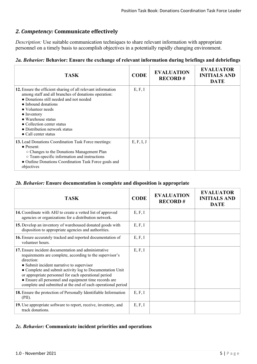## *2. Competency:* **Communicate effectively**

*Description:* Use suitable communication techniques to share relevant information with appropriate personnel on a timely basis to accomplish objectives in a potentially rapidly changing environment.

#### *2a. Behavior:* **Behavior: Ensure the exchange of relevant information during briefings and debriefings**

| <b>TASK</b>                                                                                                                                                                                                                                                                                                                                             | <b>CODE</b> | <b>EVALUATION</b><br><b>RECORD#</b> | <b>EVALUATOR</b><br><b>INITIALS AND</b><br><b>DATE</b> |
|---------------------------------------------------------------------------------------------------------------------------------------------------------------------------------------------------------------------------------------------------------------------------------------------------------------------------------------------------------|-------------|-------------------------------------|--------------------------------------------------------|
| 12. Ensure the efficient sharing of all relevant information<br>among staff and all branches of donations operation:<br>• Donations still needed and not needed<br>• Inbound donations<br>• Volunteer needs<br>$\bullet$ Inventory<br>• Warehouse status<br>• Collection center status<br>• Distribution network status<br>$\bullet$ Call center status | E, F, I     |                                     |                                                        |
| 13. Lead Donations Coordination Task Force meetings:<br>$\bullet$ Present:<br>○ Changes to the Donations Management Plan<br>o Team-specific information and instructions<br>• Outline Donations Coordination Task Force goals and<br>objectives                                                                                                         | E, F, I, J  |                                     |                                                        |

#### *2b. Behavior:* **Ensure documentation is complete and disposition is appropriate**

| <b>TASK</b>                                                                                                                                                                                                                                                                                                                                                                                                              | <b>CODE</b> | <b>EVALUATION</b><br><b>RECORD#</b> | <b>EVALUATOR</b><br><b>INITIALS AND</b><br><b>DATE</b> |
|--------------------------------------------------------------------------------------------------------------------------------------------------------------------------------------------------------------------------------------------------------------------------------------------------------------------------------------------------------------------------------------------------------------------------|-------------|-------------------------------------|--------------------------------------------------------|
| 14. Coordinate with AHJ to create a vetted list of approved<br>agencies or organizations for a distribution network.                                                                                                                                                                                                                                                                                                     | E, F, I     |                                     |                                                        |
| 15. Develop an inventory of warehoused donated goods with<br>disposition to appropriate agencies and authorities.                                                                                                                                                                                                                                                                                                        | E, F, I     |                                     |                                                        |
| 16. Ensure accurately tracked and reported documentation of<br>volunteer hours.                                                                                                                                                                                                                                                                                                                                          | E, F, I     |                                     |                                                        |
| 17. Ensure incident documentation and administrative<br>requirements are complete, according to the supervisor's<br>direction:<br>• Submit incident narrative to supervisor<br>• Complete and submit activity log to Documentation Unit<br>or appropriate personnel for each operational period<br>• Ensure all personnel and equipment time records are<br>complete and submitted at the end of each operational period | E, F, I     |                                     |                                                        |
| 18. Ensure the protection of Personally Identifiable Information<br>(PII).                                                                                                                                                                                                                                                                                                                                               | E, F, I     |                                     |                                                        |
| 19. Use appropriate software to report, receive, inventory, and<br>track donations.                                                                                                                                                                                                                                                                                                                                      | E, F, I     |                                     |                                                        |

#### *2c. Behavior:* **Communicate incident priorities and operations**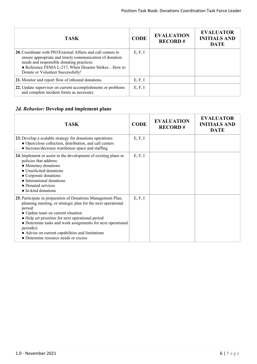| <b>TASK</b>                                                                                                                                                                                                                                                              | <b>CODE</b> | <b>EVALUATION</b><br><b>RECORD#</b> | <b>EVALUATOR</b><br><b>INITIALS AND</b><br><b>DATE</b> |
|--------------------------------------------------------------------------------------------------------------------------------------------------------------------------------------------------------------------------------------------------------------------------|-------------|-------------------------------------|--------------------------------------------------------|
| <b>20.</b> Coordinate with PIO/External Affairs and call centers to<br>ensure appropriate and timely communication of donation<br>needs and responsible donating practices:<br>• Reference FEMA L-217, When Disaster Strikes How to<br>Donate or Volunteer Successfully! | E, F, I     |                                     |                                                        |
| 21. Monitor and report flow of inbound donations.                                                                                                                                                                                                                        | E, F, I     |                                     |                                                        |
| 22. Update supervisor on current accomplishments or problems<br>and complete incident forms as necessary.                                                                                                                                                                | E, F, I     |                                     |                                                        |

# *2d. Behavior:* **Develop and implement plans**

| <b>TASK</b>                                                                                                                                                                                                                                                                                                                                                                                                | <b>CODE</b> | <b>EVALUATION</b><br><b>RECORD#</b> | <b>EVALUATOR</b><br><b>INITIALS AND</b><br><b>DATE</b> |
|------------------------------------------------------------------------------------------------------------------------------------------------------------------------------------------------------------------------------------------------------------------------------------------------------------------------------------------------------------------------------------------------------------|-------------|-------------------------------------|--------------------------------------------------------|
| 23. Develop a scalable strategy for donations operations:<br>• Open/close collection, distribution, and call centers<br>• Increase/decrease warehouse space and staffing                                                                                                                                                                                                                                   | E, F, I     |                                     |                                                        |
| 24. Implement or assist in the development of existing plans or<br>policies that address:<br>• Monetary donations<br>• Unsolicited donations<br>• Corporate donations<br>• International donations<br>• Donated services<br>• In-kind donations                                                                                                                                                            | E, F, I     |                                     |                                                        |
| 25. Participate in preparation of Donations Management Plan,<br>planning meeting, or strategic plan for the next operational<br>period:<br>• Update team on current situation<br>• Help set priorities for next operational period<br>• Determine tasks and work assignments for next operational<br>period(s)<br>• Advise on current capabilities and limitations<br>• Determine resource needs or excess | E, F, I     |                                     |                                                        |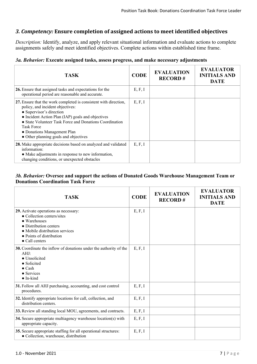## *3. Competency:* **Ensure completion of assigned actions to meet identified objectives**

*Description:* Identify, analyze, and apply relevant situational information and evaluate actions to complete assignments safely and meet identified objectives. Complete actions within established time frame.

#### *3a. Behavior:* **Execute assigned tasks, assess progress, and make necessary adjustments**

| <b>TASK</b>                                                                                                                                                                                                                                                                                                                                   | <b>CODE</b> | <b>EVALUATION</b><br><b>RECORD#</b> | <b>EVALUATOR</b><br><b>INITIALS AND</b><br><b>DATE</b> |
|-----------------------------------------------------------------------------------------------------------------------------------------------------------------------------------------------------------------------------------------------------------------------------------------------------------------------------------------------|-------------|-------------------------------------|--------------------------------------------------------|
| 26. Ensure that assigned tasks and expectations for the<br>operational period are reasonable and accurate.                                                                                                                                                                                                                                    | E, F, I     |                                     |                                                        |
| 27. Ensure that the work completed is consistent with direction,<br>policy, and incident objectives:<br>• Supervisor's direction<br>• Incident Action Plan (IAP) goals and objectives<br>• State Volunteer Task Force and Donations Coordination<br><b>Task Force</b><br>• Donations Management Plan<br>• Other planning goals and objectives | E, F, I     |                                     |                                                        |
| 28. Make appropriate decisions based on analyzed and validated<br>information:<br>• Make adjustments in response to new information,<br>changing conditions, or unexpected obstacles                                                                                                                                                          | E, F, I     |                                     |                                                        |

#### *3b. Behavior:* **Oversee and support the actions of Donated Goods Warehouse Management Team or Donations Coordination Task Force**

| <b>TASK</b>                                                                                                                                                                                           | <b>CODE</b> | <b>EVALUATION</b><br><b>RECORD#</b> | <b>EVALUATOR</b><br><b>INITIALS AND</b><br><b>DATE</b> |
|-------------------------------------------------------------------------------------------------------------------------------------------------------------------------------------------------------|-------------|-------------------------------------|--------------------------------------------------------|
| 29. Activate operations as necessary:<br>• Collection centers/sites<br>• Warehouses<br>• Distribution centers<br>• Mobile distribution services<br>• Points of distribution<br>$\bullet$ Call centers | E, F, I     |                                     |                                                        |
| 30. Coordinate the inflow of donations under the authority of the<br>AHJ:<br>• Unsolicited<br>• Solicited<br>$\bullet$ Cash<br>$\bullet$ Services<br>$\bullet$ In-kind                                | E, F, I     |                                     |                                                        |
| 31. Follow all AHJ purchasing, accounting, and cost control<br>procedures.                                                                                                                            | E, F, I     |                                     |                                                        |
| 32. Identify appropriate locations for call, collection, and<br>distribution centers.                                                                                                                 | E, F, I     |                                     |                                                        |
| 33. Review all standing local MOU, agreements, and contracts.                                                                                                                                         | E, F, I     |                                     |                                                        |
| 34. Secure appropriate multiagency warehouse location(s) with<br>appropriate capacity.                                                                                                                | E, F, I     |                                     |                                                        |
| 35. Secure appropriate staffing for all operational structures:<br>· Collection, warehouse, distribution                                                                                              | E, F, I     |                                     |                                                        |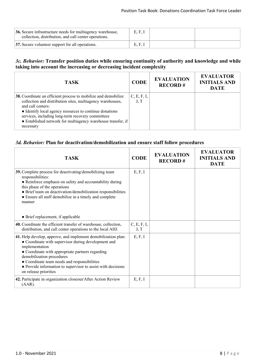| 36. Secure infrastructure needs for multiagency warehouse,<br>collection, distribution, and call center operations. | E, F, I |  |
|---------------------------------------------------------------------------------------------------------------------|---------|--|
| 37. Secure volunteer support for all operations.                                                                    | E, F, I |  |

#### *3c. Behavior:* **Transfer position duties while ensuring continuity of authority and knowledge and while taking into account the increasing or decreasing incident complexity**

| TASK.                                                                                                                                                                                                                                                                                                                                          | <b>CODE</b>         | <b>EVALUATION</b><br><b>RECORD#</b> | <b>EVALUATOR</b><br><b>INITIALS AND</b><br><b>DATE</b> |
|------------------------------------------------------------------------------------------------------------------------------------------------------------------------------------------------------------------------------------------------------------------------------------------------------------------------------------------------|---------------------|-------------------------------------|--------------------------------------------------------|
| 38. Coordinate an efficient process to mobilize and demobilize<br>collection and distribution sites, multiagency warehouses,<br>and call centers:<br>• Identify local agency resources to continue donations<br>services, including long-term recovery committees<br>• Established network for multiagency warehouse transfer, if<br>necessary | C, E, F, I,<br>J, T |                                     |                                                        |

#### *3d. Behavior:* **Plan for deactivation/demobilization and ensure staff follow procedures**

| <b>TASK</b>                                                                                                                                                                                                                                                                                                                                                      | <b>CODE</b>         | <b>EVALUATION</b><br><b>RECORD#</b> | <b>EVALUATOR</b><br><b>INITIALS AND</b><br><b>DATE</b> |
|------------------------------------------------------------------------------------------------------------------------------------------------------------------------------------------------------------------------------------------------------------------------------------------------------------------------------------------------------------------|---------------------|-------------------------------------|--------------------------------------------------------|
| 39. Complete process for deactivating/demobilizing team<br>responsibilities:<br>• Reinforce emphasis on safety and accountability during<br>this phase of the operations<br>• Brief team on deactivation/demobilization responsibilities<br>• Ensure all staff demobilize in a timely and complete<br>manner<br>• Brief replacement, if applicable               | E, F, I             |                                     |                                                        |
| 40. Coordinate the efficient transfer of warehouse, collection,<br>distribution, and call center operations to the local AHJ.                                                                                                                                                                                                                                    | C, E, F, I,<br>J, T |                                     |                                                        |
| 41. Help develop, approve, and implement demobilization plan:<br>• Coordinate with supervisor during development and<br>implementation<br>• Coordinate with appropriate partners regarding<br>demobilization procedures<br>• Coordinate team needs and responsibilities<br>• Provide information to supervisor to assist with decisions<br>on release priorities | E, F, I             |                                     |                                                        |
| 42. Participate in organization closeout/After Action Review<br>$(AAR)$ .                                                                                                                                                                                                                                                                                        | E, F, I             |                                     |                                                        |